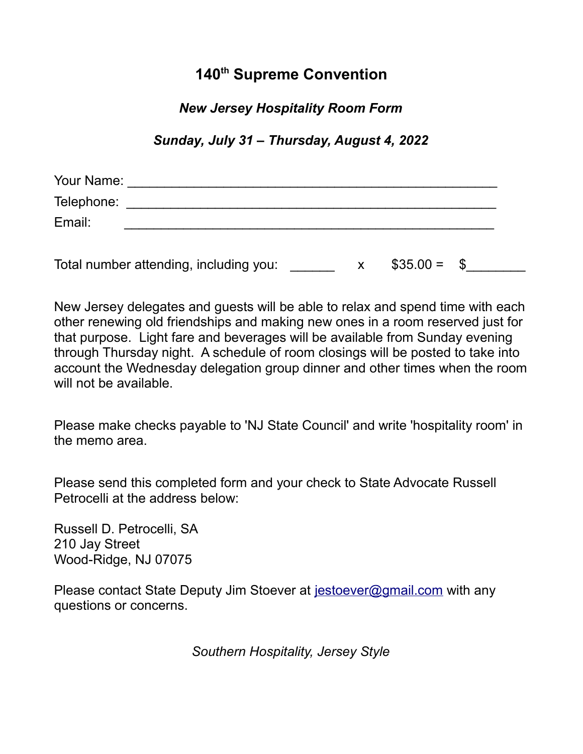# **140th Supreme Convention**

#### *New Jersey Hospitality Room Form*

*Sunday, July 31 – Thursday, August 4, 2022*

| Your Name: |                                        |  |              |  |
|------------|----------------------------------------|--|--------------|--|
| Telephone: |                                        |  |              |  |
| Email:     |                                        |  |              |  |
|            |                                        |  |              |  |
|            | Total number attending, including you: |  | $$35.00 = $$ |  |

New Jersey delegates and guests will be able to relax and spend time with each other renewing old friendships and making new ones in a room reserved just for that purpose. Light fare and beverages will be available from Sunday evening through Thursday night. A schedule of room closings will be posted to take into account the Wednesday delegation group dinner and other times when the room will not be available.

Please make checks payable to 'NJ State Council' and write 'hospitality room' in the memo area.

Please send this completed form and your check to State Advocate Russell Petrocelli at the address below:

Russell D. Petrocelli, SA 210 Jay Street Wood-Ridge, NJ 07075

Please contact State Deputy Jim Stoever at [jestoever@gmail.com](mailto:jestoever@gmail.com) with any questions or concerns.

*Southern Hospitality, Jersey Style*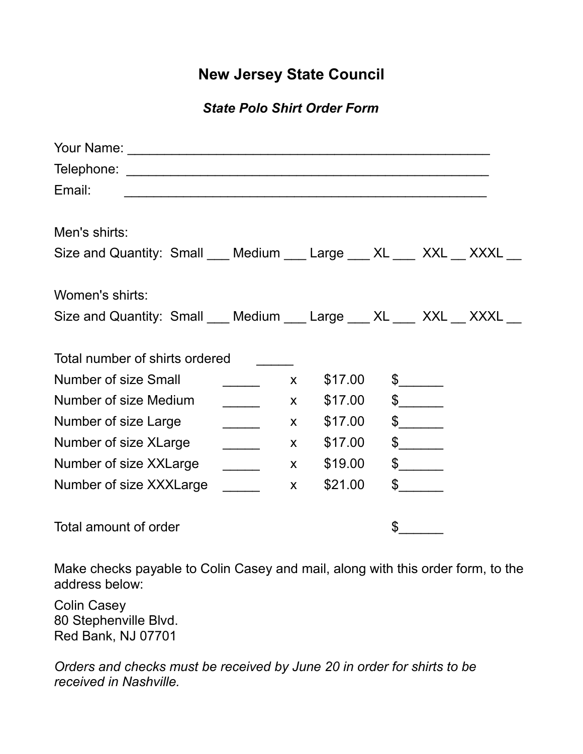## **New Jersey State Council**

### *State Polo Shirt Order Form*

| Email:                                                                  |                          |              |         |               |  |
|-------------------------------------------------------------------------|--------------------------|--------------|---------|---------------|--|
|                                                                         |                          |              |         |               |  |
| Men's shirts:                                                           |                          |              |         |               |  |
| Size and Quantity: Small ___ Medium ___ Large ___ XL ___ XXL __ XXXL __ |                          |              |         |               |  |
|                                                                         |                          |              |         |               |  |
| Women's shirts:                                                         |                          |              |         |               |  |
| Size and Quantity: Small ___ Medium ___ Large ___ XL ___ XXL __ XXXL __ |                          |              |         |               |  |
|                                                                         |                          |              |         |               |  |
| Total number of shirts ordered                                          |                          |              |         |               |  |
| <b>Number of size Small</b>                                             |                          | X            | \$17.00 | $\frac{1}{2}$ |  |
| Number of size Medium                                                   | $\overline{\phantom{a}}$ | $\mathsf{X}$ | \$17.00 | $\frac{1}{2}$ |  |
| Number of size Large                                                    | $\overline{\phantom{a}}$ | $\mathsf{X}$ | \$17.00 | $\frac{1}{2}$ |  |
| Number of size XLarge                                                   | $\overline{\phantom{a}}$ | $\mathsf{X}$ | \$17.00 | $\frac{1}{2}$ |  |
| Number of size XXLarge                                                  | $\overline{\phantom{a}}$ | X            | \$19.00 | $\frac{1}{2}$ |  |
| Number of size XXXLarge                                                 |                          | $\mathsf{X}$ | \$21.00 | $\frac{1}{2}$ |  |
|                                                                         |                          |              |         |               |  |
| Total amount of order                                                   |                          |              |         | \$            |  |

Make checks payable to Colin Casey and mail, along with this order form, to the address below:

Colin Casey 80 Stephenville Blvd. Red Bank, NJ 07701

*Orders and checks must be received by June 20 in order for shirts to be received in Nashville.*